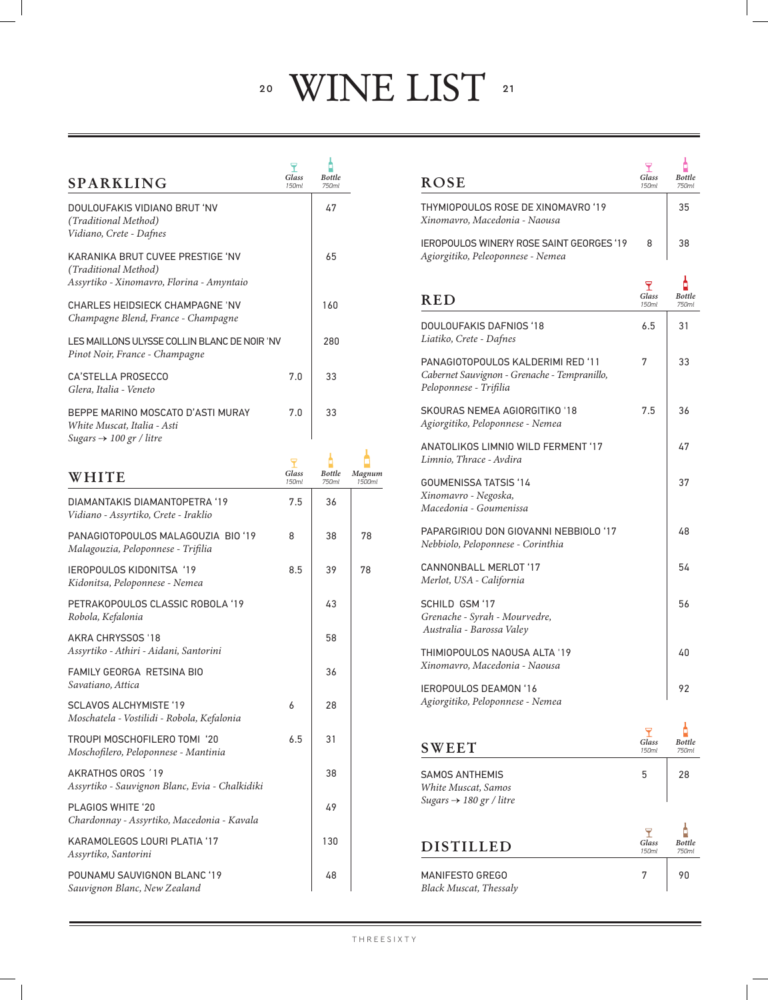20 WINE LIST 21

| <b>SPARKLING</b>                                                                                        | T<br>Glass<br>150ml | Bottle<br>750ml        |                  |
|---------------------------------------------------------------------------------------------------------|---------------------|------------------------|------------------|
| DOULOUFAKIS VIDIANO BRUT 'NV<br>(Traditional Method)<br>Vidiano, Crete - Dafnes                         |                     | 47                     |                  |
| KARANIKA BRUT CUVEE PRESTIGE 'NV<br>(Traditional Method)<br>Assyrtiko - Xinomavro, Florina - Amyntaio   |                     | 65                     |                  |
| CHARLES HEIDSIECK CHAMPAGNE 'NV<br>Champagne Blend, France - Champagne                                  |                     | 160                    |                  |
| LES MAILLONS ULYSSE COLLIN BLANC DE NOIR 'NV<br>Pinot Noir, France - Champagne                          |                     | 280                    |                  |
| CA'STELLA PROSECCO<br>Glera, Italia - Veneto                                                            | 7.0                 | 33                     |                  |
| BEPPE MARINO MOSCATO D'ASTI MURAY<br>White Muscat, Italia - Asti<br>Sugars $\rightarrow$ 100 gr / litre | 7.0                 | 33                     |                  |
|                                                                                                         | 7                   |                        |                  |
| WHITE                                                                                                   | Glass<br>150ml      | <b>Bottle</b><br>750ml | Magnum<br>1500ml |
| DIAMANTAKIS DIAMANTOPETRA '19<br>Vidiano - Assyrtiko, Crete - Iraklio                                   | 7.5                 | 36                     |                  |
| PANAGIOTOPOULOS MALAGOUZIA BIO '19<br>Malagouzia, Peloponnese - Trifilia                                | 8                   | 38                     | 78               |
| <b>IEROPOULOS KIDONITSA '19</b><br>Kidonitsa, Peloponnese - Nemea                                       | 8.5                 | 39                     | 78               |
| PETRAKOPOULOS CLASSIC ROBOLA '19<br>Robola, Kefalonia                                                   |                     | 43                     |                  |
| AKRA CHRYSSOS '18<br>Assyrtiko - Athiri - Aidani, Santorini                                             |                     | 58                     |                  |
| FAMILY GEORGA RETSINA BIO<br>Savatiano, Attica                                                          |                     | 36                     |                  |
| <b>SCLAVOS ALCHYMISTE '19</b><br>Moschatela - Vostilidi - Robola, Kefalonia                             | 6                   | 28                     |                  |
| TROUPI MOSCHOFILERO TOMI '20<br>Moschofilero, Peloponnese - Mantinia                                    | 6.5                 | 31                     |                  |
| AKRATHOS OROS '19<br>Assyrtiko - Sauvignon Blanc, Evia - Chalkidiki                                     |                     | 38                     |                  |
| <b>PLAGIOS WHITE '20</b><br>Chardonnay - Assyrtiko, Macedonia - Kavala                                  |                     | 49                     |                  |
| KARAMOLEGOS LOURI PLATIA '17<br>Assyrtiko, Santorini                                                    |                     | 130                    |                  |
| POUNAMU SAUVIGNON BLANC '19<br>Sauvignon Blanc, New Zealand                                             |                     | 48                     |                  |

ţ

| <b>ROSE</b>                                                                                                 | Glass<br>150ml                         | Bottle<br>750ml        |
|-------------------------------------------------------------------------------------------------------------|----------------------------------------|------------------------|
| THYMIOPOULOS ROSE DE XINOMAVRO '19<br>Xinomavro, Macedonia - Naousa                                         |                                        | 35                     |
| <b>IEROPOULOS WINERY ROSE SAINT GEORGES '19</b><br>Agiorgitiko, Peleoponnese - Nemea                        | 8                                      | 38                     |
| <b>RED</b>                                                                                                  | $\mathbf T$<br>Glass<br>150ml          | Bottle<br>750ml        |
| DOULOUFAKIS DAFNIOS '18<br>Liatiko, Crete - Dafnes                                                          | 6.5                                    | 31                     |
| PANAGIOTOPOULOS KALDERIMI RED '11<br>Cabernet Sauvignon - Grenache - Tempranillo,<br>Peloponnese - Trifilia | 7                                      | 33                     |
| SKOURAS NEMEA AGIORGITIKO '18<br>Agiorgitiko, Peloponnese - Nemea                                           | 7.5                                    | 36                     |
| <b>ANATOLIKOS LIMNIO WILD FERMENT '17</b><br>Limnio, Thrace - Avdira                                        |                                        | 47                     |
| <b>GOUMENISSA TATSIS '14</b><br>Xinomavro - Negoska,<br>Macedonia - Goumenissa                              |                                        | 37                     |
| PAPARGIRIOU DON GIOVANNI NEBBIOLO '17<br>Nebbiolo, Peloponnese - Corinthia                                  |                                        | 48                     |
| CANNONBALL MERLOT '17<br>Merlot, USA - California                                                           |                                        | 54                     |
| SCHILD GSM '17<br>Grenache - Syrah - Mourvedre,<br>Australia - Barossa Valey                                |                                        | 56                     |
| THIMIOPOULOS NAOUSA ALTA '19<br>Xinomavro, Macedonia - Naousa                                               |                                        | 40                     |
| <b>IEROPOULOS DEAMON '16</b><br>Agiorgitiko, Peloponnese - Nemea                                            |                                        | 92                     |
| SWEET                                                                                                       | ${\mathbf T}$<br>Glass<br>150ml        | Bottle<br>750ml        |
| SAMOS ANTHEMIS<br>White Muscat, Samos<br>Sugars $\rightarrow$ 180 gr / litre                                | 5                                      | 28                     |
| <b>DISTILLED</b>                                                                                            | $\blacktriangledown$<br>Glass<br>150ml | <b>Bottle</b><br>750ml |
| MANIFESTO GREGO<br><b>Black Muscat, Thessaly</b>                                                            | 7                                      | 90                     |